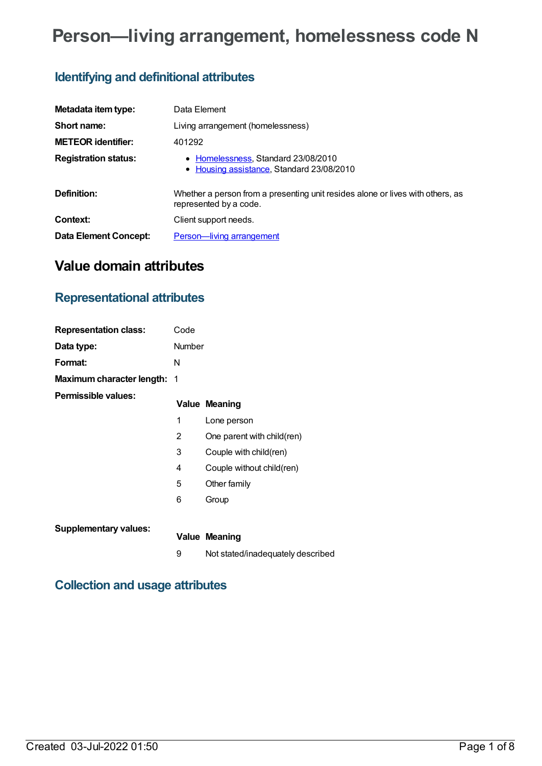# **Person—living arrangement, homelessness code N**

## **Identifying and definitional attributes**

| Metadata item type:          | Data Element                                                                                             |
|------------------------------|----------------------------------------------------------------------------------------------------------|
| Short name:                  | Living arrangement (homelessness)                                                                        |
| <b>METEOR identifier:</b>    | 401292                                                                                                   |
| <b>Registration status:</b>  | • Homelessness, Standard 23/08/2010<br>• Housing assistance, Standard 23/08/2010                         |
| Definition:                  | Whether a person from a presenting unit resides alone or lives with others, as<br>represented by a code. |
| Context:                     | Client support needs.                                                                                    |
| <b>Data Element Concept:</b> | Person-living arrangement                                                                                |

## **Value domain attributes**

## **Representational attributes**

| <b>Representation class:</b> | Code   |                            |
|------------------------------|--------|----------------------------|
| Data type:                   | Number |                            |
| Format:                      | N      |                            |
| Maximum character length: 1  |        |                            |
| Permissible values:          |        | <b>Value Meaning</b>       |
|                              | 1      | Lone person                |
|                              | 2      | One parent with child(ren) |
|                              | 3      | Couple with child(ren)     |
|                              | 4      | Couple without child(ren)  |
|                              | 5      | Other family               |
|                              | 6      | Group                      |
| <b>Supplementary values:</b> |        | Value Meaning              |

9 Not stated/inadequately described

## **Collection and usage attributes**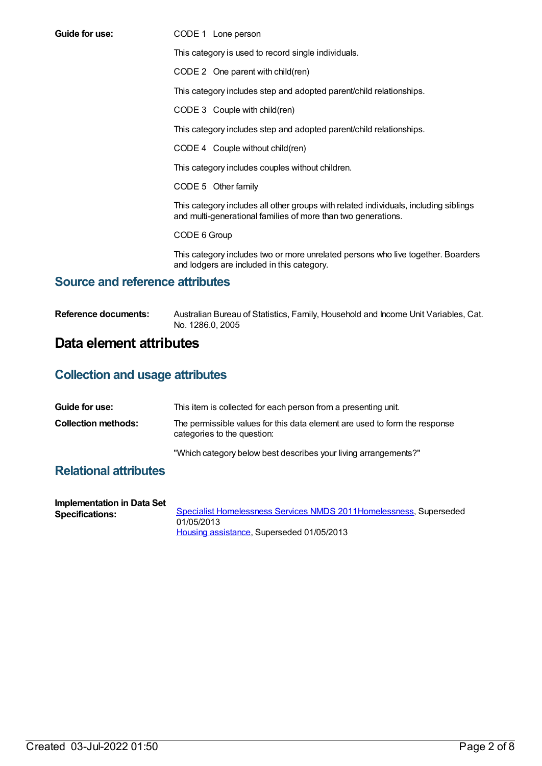**Guide for use:** CODE 1 Lone person

This category is used to record single individuals.

CODE 2 One parent with child(ren)

This category includes step and adopted parent/child relationships.

CODE 3 Couple with child(ren)

This category includes step and adopted parent/child relationships.

CODE 4 Couple without child(ren)

This category includes couples without children.

CODE 5 Other family

This category includes all other groups with related individuals, including siblings and multi-generational families of more than two generations.

CODE 6 Group

This category includes two or more unrelated persons who live together. Boarders and lodgers are included in this category.

### **Source and reference attributes**

**Reference documents:** Australian Bureau of Statistics, Family, Household and Income Unit Variables, Cat. No. 1286.0, 2005

### **Data element attributes**

### **Collection and usage attributes**

| Guide for use:             | This item is collected for each person from a presenting unit.                                            |
|----------------------------|-----------------------------------------------------------------------------------------------------------|
| <b>Collection methods:</b> | The permissible values for this data element are used to form the response<br>categories to the question: |
|                            | "Which category below best describes your living arrangements?"                                           |

### **Relational attributes**

| Implementation in Data Set |                                                                     |
|----------------------------|---------------------------------------------------------------------|
| <b>Specifications:</b>     | Specialist Homelessness Services NMDS 2011 Homelessness, Superseded |
|                            | 01/05/2013                                                          |
|                            | Housing assistance, Superseded 01/05/2013                           |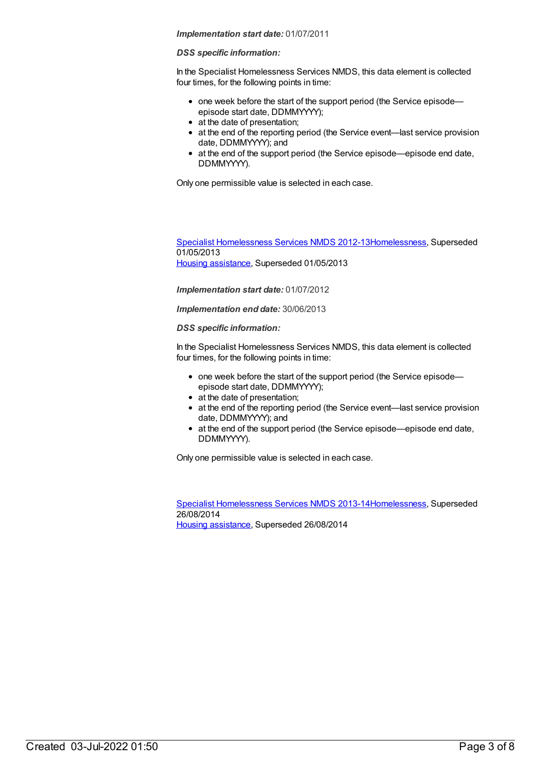#### *DSS specific information:*

In the Specialist Homelessness Services NMDS, this data element is collected four times, for the following points in time:

- one week before the start of the support period (the Service episodeepisode start date, DDMMYYYY);
- at the date of presentation;
- at the end of the reporting period (the Service event—last service provision date, DDMMYYYY); and
- at the end of the support period (the Service episode—episode end date, DDMMYYYY).

Only one permissible value is selected in each case.

Specialist [Homelessness](https://meteor.aihw.gov.au/content/508954) Services NMDS 2012-1[3Homelessness](https://meteor.aihw.gov.au/RegistrationAuthority/14), Superseded 01/05/2013 Housing [assistance](https://meteor.aihw.gov.au/RegistrationAuthority/11), Superseded 01/05/2013

*Implementation start date:* 01/07/2012

*Implementation end date:* 30/06/2013

*DSS specific information:*

In the Specialist Homelessness Services NMDS, this data element is collected four times, for the following points in time:

- one week before the start of the support period (the Service episodeepisode start date, DDMMYYYY);
- at the date of presentation;
- at the end of the reporting period (the Service event—last service provision date, DDMMYYYY); and
- at the end of the support period (the Service episode—episode end date, DDMMYYYY).

Only one permissible value is selected in each case.

Specialist [Homelessness](https://meteor.aihw.gov.au/content/505626) Services NMDS 2013-1[4Homelessness](https://meteor.aihw.gov.au/RegistrationAuthority/14), Superseded 26/08/2014 Housing [assistance](https://meteor.aihw.gov.au/RegistrationAuthority/11), Superseded 26/08/2014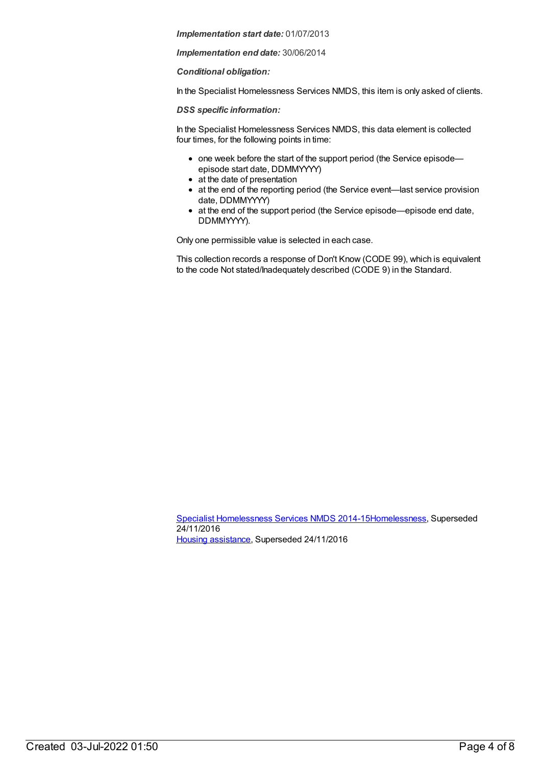*Implementation end date:* 30/06/2014

*Conditional obligation:*

In the Specialist Homelessness Services NMDS, this item is only asked of clients.

*DSS specific information:*

In the Specialist Homelessness Services NMDS, this data element is collected four times, for the following points in time:

- one week before the start of the support period (the Service episode episode start date, DDMMYYYY)
- at the date of presentation
- at the end of the reporting period (the Service event—last service provision date, DDMMYYYY)
- at the end of the support period (the Service episode—episode end date, DDMMYYYY).

Only one permissible value is selected in each case.

This collection records a response of Don't Know (CODE 99), which is equivalent to the code Not stated/Inadequately described (CODE 9) in the Standard.

Specialist [Homelessness](https://meteor.aihw.gov.au/content/581255) Services NMDS 2014-1[5Homelessness](https://meteor.aihw.gov.au/RegistrationAuthority/14), Superseded 24/11/2016 Housing [assistance](https://meteor.aihw.gov.au/RegistrationAuthority/11), Superseded 24/11/2016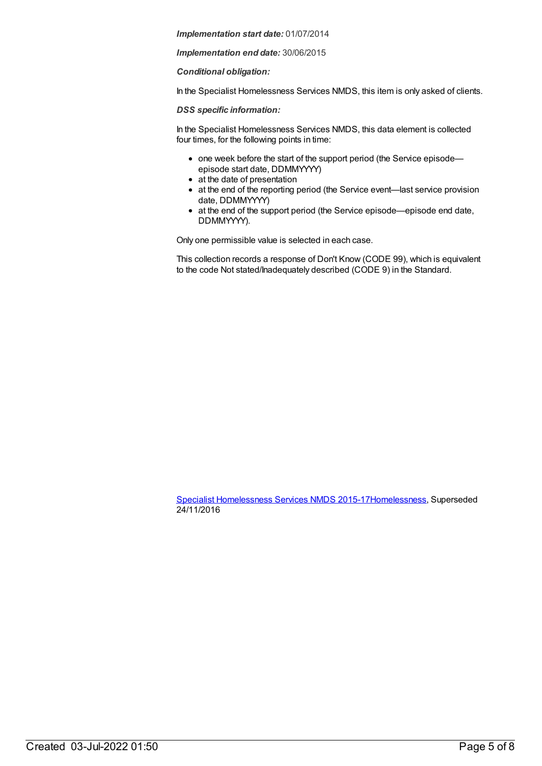*Implementation end date:* 30/06/2015

*Conditional obligation:*

In the Specialist Homelessness Services NMDS, this item is only asked of clients.

*DSS specific information:*

In the Specialist Homelessness Services NMDS, this data element is collected four times, for the following points in time:

- one week before the start of the support period (the Service episode episode start date, DDMMYYYY)
- at the date of presentation
- at the end of the reporting period (the Service event—last service provision date, DDMMYYYY)
- at the end of the support period (the Service episode—episode end date, DDMMYYYY).

Only one permissible value is selected in each case.

This collection records a response of Don't Know (CODE 99), which is equivalent to the code Not stated/Inadequately described (CODE 9) in the Standard.

Specialist [Homelessness](https://meteor.aihw.gov.au/content/658005) Services NMDS 2015-1[7Homelessness](https://meteor.aihw.gov.au/RegistrationAuthority/14), Superseded 24/11/2016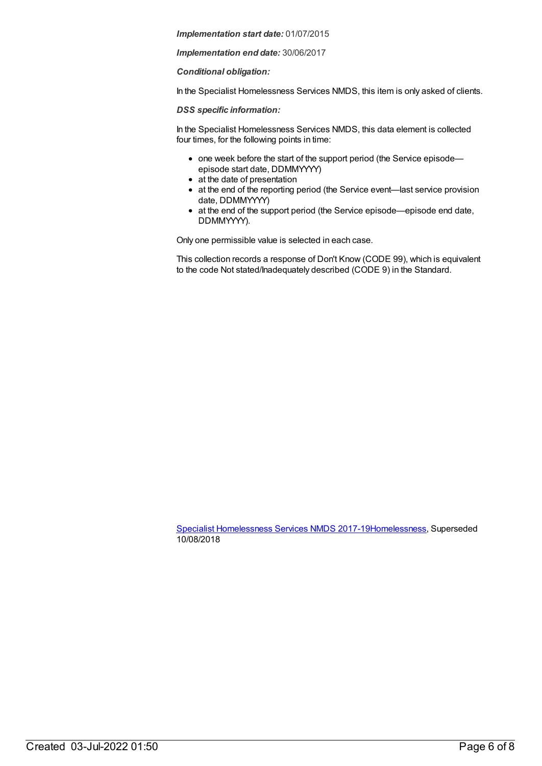*Implementation end date:* 30/06/2017

*Conditional obligation:*

In the Specialist Homelessness Services NMDS, this item is only asked of clients.

*DSS specific information:*

In the Specialist Homelessness Services NMDS, this data element is collected four times, for the following points in time:

- one week before the start of the support period (the Service episode episode start date, DDMMYYYY)
- at the date of presentation
- at the end of the reporting period (the Service event—last service provision date, DDMMYYYY)
- at the end of the support period (the Service episode—episode end date, DDMMYYYY).

Only one permissible value is selected in each case.

This collection records a response of Don't Know (CODE 99), which is equivalent to the code Not stated/Inadequately described (CODE 9) in the Standard.

Specialist [Homelessness](https://meteor.aihw.gov.au/content/650006) Services NMDS 2017-1[9Homelessness](https://meteor.aihw.gov.au/RegistrationAuthority/14), Superseded 10/08/2018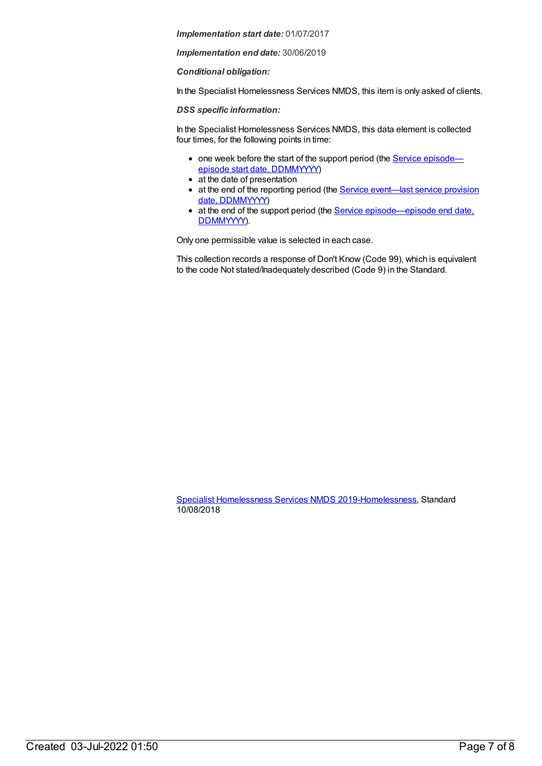*Implementation end date:* 30/06/2019

*Conditional obligation:*

In the Specialist Homelessness Services NMDS, this item is only asked of clients.

*DSS specific information:*

In the Specialist Homelessness Services NMDS, this data element is collected four times, for the following points in time:

- one week before the start of the support period (the Service episode episode start date, [DDMMYYYY\)](file:///content/338558)
- at the date of presentation
- at the end of the reporting period (the **Service [event—last](file:///content/323253) service provision** date, DDMMYYYY)
- at the end of the support period (the Service [episode—episode](file:///content/270160) end date, DDMMYYYY).

Only one permissible value is selected in each case.

This collection records a response of Don't Know (Code 99), which is equivalent to the code Not stated/Inadequately described (Code 9) in the Standard.

Specialist [Homelessness](https://meteor.aihw.gov.au/content/689064) Services NMDS 2019[-Homelessness](https://meteor.aihw.gov.au/RegistrationAuthority/14), Standard 10/08/2018